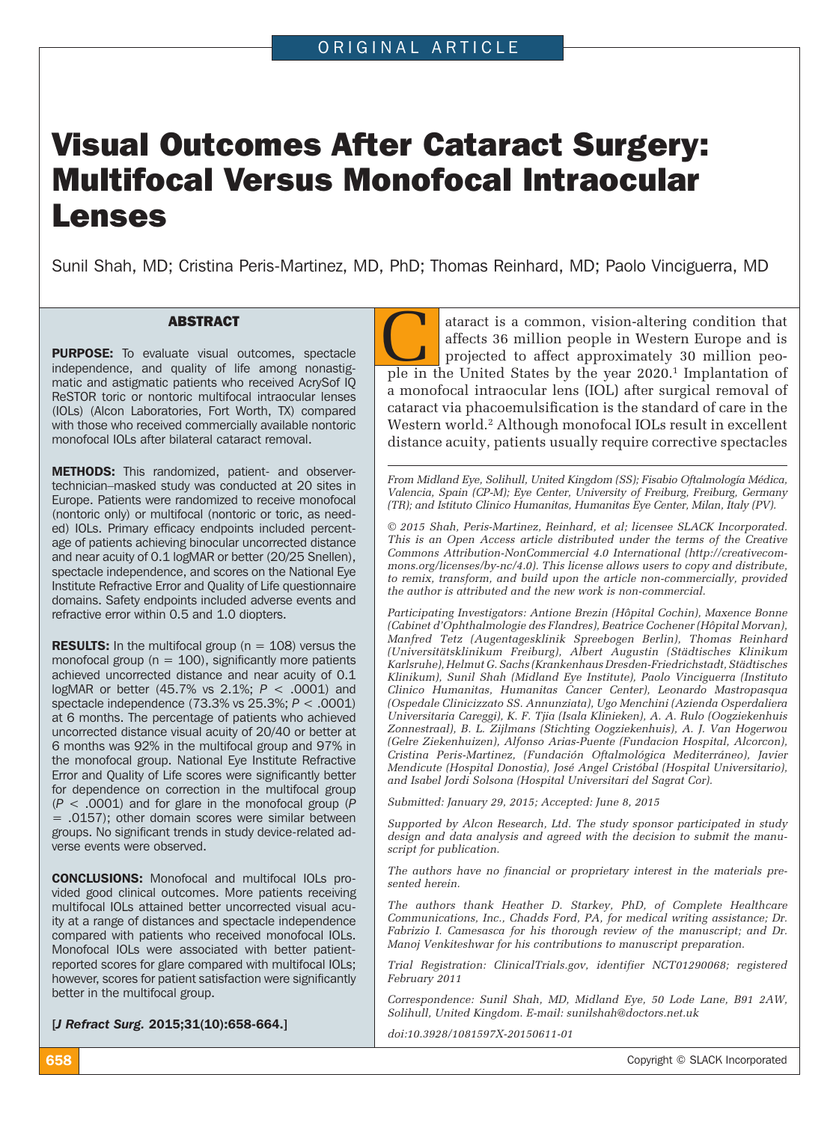# Visual Outcomes After Cataract Surgery: Multifocal Versus Monofocal Intraocular Lenses

Sunil Shah, MD; Cristina Peris-Martinez, MD, PhD; Thomas Reinhard, MD; Paolo Vinciguerra, MD

**ABSTRACT<br>
PURPOSE:** To evaluate visual outcomes, spectacle<br>
independence, and quality of life among nonastig-**PURPOSE:** To evaluate visual outcomes, spectacle matic and astigmatic patients who received AcrySof IQ ReSTOR toric or nontoric multifocal intraocular lenses (IOLs) (Alcon Laboratories, Fort Worth, TX) compared with those who received commercially available nontoric monofocal IOLs after bilateral cataract removal.

METHODS: This randomized, patient- and observertechnician–masked study was conducted at 20 sites in Europe. Patients were randomized to receive monofocal (nontoric only) or multifocal (nontoric or toric, as needed) IOLs. Primary efficacy endpoints included percentage of patients achieving binocular uncorrected distance and near acuity of 0.1 logMAR or better (20/25 Snellen), spectacle independence, and scores on the National Eye Institute Refractive Error and Quality of Life questionnaire domains. Safety endpoints included adverse events and refractive error within 0.5 and 1.0 diopters.

**RESULTS:** In the multifocal group ( $n = 108$ ) versus the monofocal group ( $n = 100$ ), significantly more patients achieved uncorrected distance and near acuity of 0.1 logMAR or better (45.7% vs 2.1%; *P* < .0001) and spectacle independence (73.3% vs 25.3%; *P* < .0001) at 6 months. The percentage of patients who achieved uncorrected distance visual acuity of 20/40 or better at 6 months was 92% in the multifocal group and 97% in the monofocal group. National Eye Institute Refractive Error and Quality of Life scores were significantly better for dependence on correction in the multifocal group (*P* < .0001) and for glare in the monofocal group (*P* = .0157); other domain scores were similar between groups. No significant trends in study device-related adverse events were observed.

CONCLUSIONS: Monofocal and multifocal IOLs provided good clinical outcomes. More patients receiving multifocal IOLs attained better uncorrected visual acuity at a range of distances and spectacle independence compared with patients who received monofocal IOLs. Monofocal IOLs were associated with better patientreported scores for glare compared with multifocal IOLs; however, scores for patient satisfaction were significantly better in the multifocal group.

[*J Refract Surg.* 2015;31(10):658-664.]

ataract is a common, vision-altering condition that affects 36 million people in Western Europe and is projected to affect approximately 30 million people in the United States by the year 2020.<sup>1</sup> Implantation of a monofocal intraocular lens (IOL) after surgical removal of cataract via phacoemulsification is the standard of care in the Western world.<sup>2</sup> Although monofocal IOLs result in excellent distance acuity, patients usually require corrective spectacles

*From Midland Eye, Solihull, United Kingdom (SS); Fisabio Oftalmología Médica, Valencia, Spain (CP-M); Eye Center, University of Freiburg, Freiburg, Germany (TR); and Istituto Clinico Humanitas, Humanitas Eye Center, Milan, Italy (PV).*

*© 2015 Shah, Peris-Martinez, Reinhard, et al; licensee SLACK Incorporated. This is an Open Access article distributed under the terms of the Creative Commons Attribution-NonCommercial 4.0 International (http://creativecommons.org/licenses/by-nc/4.0). This license allows users to copy and distribute, to remix, transform, and build upon the article non-commercially, provided the author is attributed and the new work is non-commercial.*

*Participating Investigators: Antione Brezin (Hôpital Cochin), Maxence Bonne (Cabinet d'Ophthalmologie des Flandres), Beatrice Cochener (Hôpital Morvan), Manfred Tetz (Augentagesklinik Spreebogen Berlin), Thomas Reinhard (Universitätsklinikum Freiburg), Albert Augustin (Städtisches Klinikum Karlsruhe), Helmut G. Sachs (Krankenhaus Dresden-Friedrichstadt, Städtisches Klinikum), Sunil Shah (Midland Eye Institute), Paolo Vinciguerra (Instituto Clinico Humanitas, Humanitas Cancer Center), Leonardo Mastropasqua (Ospedale Clinicizzato SS. Annunziata), Ugo Menchini (Azienda Osperdaliera Universitaria Careggi), K. F. Tjia (Isala Klinieken), A. A. Rulo (Oogziekenhuis Zonnestraal), B. L. Zijlmans (Stichting Oogziekenhuis), A. J. Van Hogerwou (Gelre Ziekenhuizen), Alfonso Arias-Puente (Fundacion Hospital, Alcorcon), Cristina Peris-Martinez, (Fundación Oftalmológica Mediterráneo), Javier Mendicute (Hospital Donostia), José Angel Cristóbal (Hospital Universitario), and Isabel Jordi Solsona (Hospital Universitari del Sagrat Cor).*

*Submitted: January 29, 2015; Accepted: June 8, 2015*

*Supported by Alcon Research, Ltd. The study sponsor participated in study design and data analysis and agreed with the decision to submit the manuscript for publication.*

*The authors have no financial or proprietary interest in the materials presented herein.* 

*The authors thank Heather D. Starkey, PhD, of Complete Healthcare Communications, Inc., Chadds Ford, PA, for medical writing assistance; Dr. Fabrizio I. Camesasca for his thorough review of the manuscript; and Dr. Manoj Venkiteshwar for his contributions to manuscript preparation.*

*Trial Registration: ClinicalTrials.gov, identifier NCT01290068; registered February 2011*

*Correspondence: Sunil Shah, MD, Midland Eye, 50 Lode Lane, B91 2AW, Solihull, United Kingdom. E-mail: sunilshah@doctors.net.uk* 

*doi:10.3928/1081597X-20150611-01*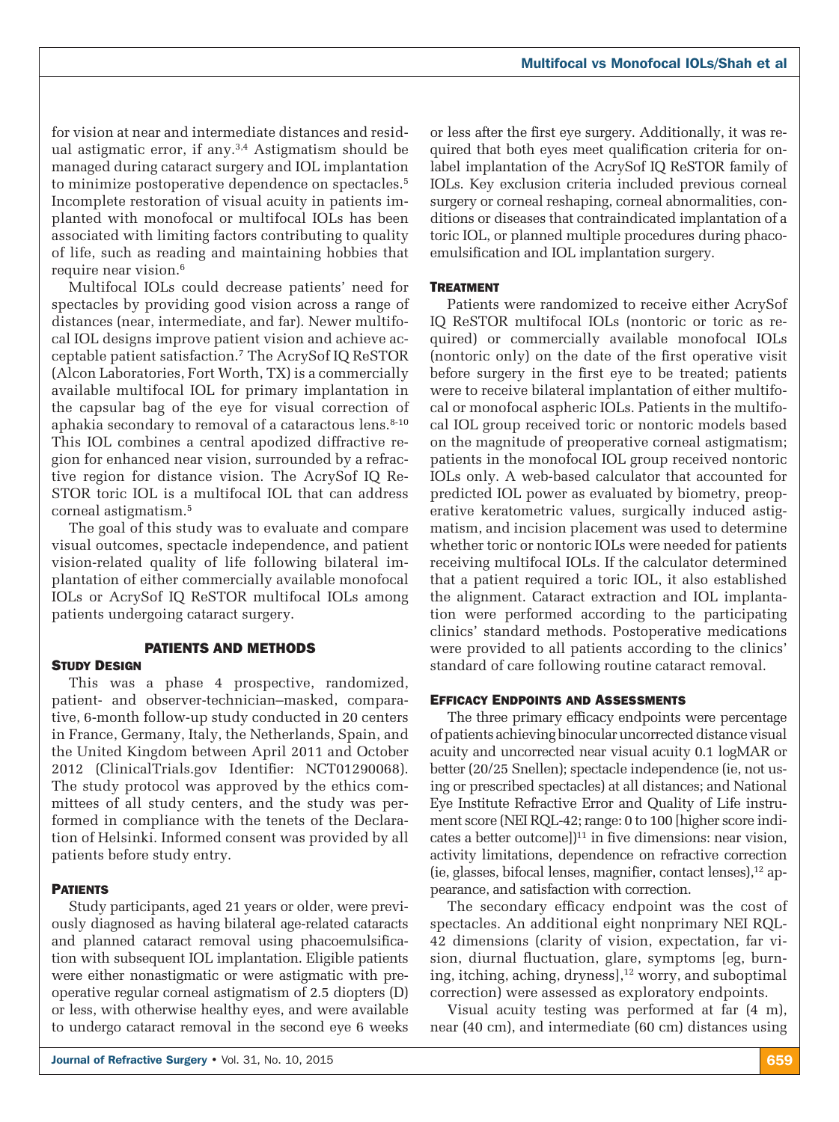for vision at near and intermediate distances and residual astigmatic error, if any.<sup>3,4</sup> Astigmatism should be managed during cataract surgery and IOL implantation to minimize postoperative dependence on spectacles.<sup>5</sup> Incomplete restoration of visual acuity in patients implanted with monofocal or multifocal IOLs has been associated with limiting factors contributing to quality of life, such as reading and maintaining hobbies that require near vision.<sup>6</sup>

Multifocal IOLs could decrease patients' need for spectacles by providing good vision across a range of distances (near, intermediate, and far). Newer multifocal IOL designs improve patient vision and achieve acceptable patient satisfaction.7 The AcrySof IQ ReSTOR (Alcon Laboratories, Fort Worth, TX) is a commercially available multifocal IOL for primary implantation in the capsular bag of the eye for visual correction of aphakia secondary to removal of a cataractous lens.<sup>8-10</sup> This IOL combines a central apodized diffractive region for enhanced near vision, surrounded by a refractive region for distance vision. The AcrySof IQ Re-STOR toric IOL is a multifocal IOL that can address corneal astigmatism.5

The goal of this study was to evaluate and compare visual outcomes, spectacle independence, and patient vision-related quality of life following bilateral implantation of either commercially available monofocal IOLs or AcrySof IQ ReSTOR multifocal IOLs among patients undergoing cataract surgery.

#### PATIENTS AND METHODS

#### **STUDY DESIGN**

This was a phase 4 prospective, randomized, patient- and observer-technician–masked, comparative, 6-month follow-up study conducted in 20 centers in France, Germany, Italy, the Netherlands, Spain, and the United Kingdom between April 2011 and October 2012 (ClinicalTrials.gov Identifier: NCT01290068). The study protocol was approved by the ethics committees of all study centers, and the study was performed in compliance with the tenets of the Declaration of Helsinki. Informed consent was provided by all patients before study entry.

# **PATIENTS**

Study participants, aged 21 years or older, were previously diagnosed as having bilateral age-related cataracts and planned cataract removal using phacoemulsification with subsequent IOL implantation. Eligible patients were either nonastigmatic or were astigmatic with preoperative regular corneal astigmatism of 2.5 diopters (D) or less, with otherwise healthy eyes, and were available to undergo cataract removal in the second eye 6 weeks

or less after the first eye surgery. Additionally, it was required that both eyes meet qualification criteria for onlabel implantation of the AcrySof IQ ReSTOR family of IOLs. Key exclusion criteria included previous corneal surgery or corneal reshaping, corneal abnormalities, conditions or diseases that contraindicated implantation of a toric IOL, or planned multiple procedures during phacoemulsification and IOL implantation surgery.

## **TREATMENT**

Patients were randomized to receive either AcrySof IQ ReSTOR multifocal IOLs (nontoric or toric as required) or commercially available monofocal IOLs (nontoric only) on the date of the first operative visit before surgery in the first eye to be treated; patients were to receive bilateral implantation of either multifocal or monofocal aspheric IOLs. Patients in the multifocal IOL group received toric or nontoric models based on the magnitude of preoperative corneal astigmatism; patients in the monofocal IOL group received nontoric IOLs only. A web-based calculator that accounted for predicted IOL power as evaluated by biometry, preoperative keratometric values, surgically induced astigmatism, and incision placement was used to determine whether toric or nontoric IOLs were needed for patients receiving multifocal IOLs. If the calculator determined that a patient required a toric IOL, it also established the alignment. Cataract extraction and IOL implantation were performed according to the participating clinics' standard methods. Postoperative medications were provided to all patients according to the clinics' standard of care following routine cataract removal.

#### Efficacy Endpoints and Assessments

The three primary efficacy endpoints were percentage of patients achieving binocular uncorrected distance visual acuity and uncorrected near visual acuity 0.1 logMAR or better (20/25 Snellen); spectacle independence (ie, not using or prescribed spectacles) at all distances; and National Eye Institute Refractive Error and Quality of Life instrument score (NEI RQL-42; range: 0 to 100 [higher score indicates a better outcome] $]$ <sup>11</sup> in five dimensions: near vision, activity limitations, dependence on refractive correction (ie, glasses, bifocal lenses, magnifier, contact lenses), $12$  appearance, and satisfaction with correction.

The secondary efficacy endpoint was the cost of spectacles. An additional eight nonprimary NEI RQL-42 dimensions (clarity of vision, expectation, far vision, diurnal fluctuation, glare, symptoms [eg, burning, itching, aching, dryness $]$ ,<sup>12</sup> worry, and suboptimal correction) were assessed as exploratory endpoints.

Visual acuity testing was performed at far (4 m), near (40 cm), and intermediate (60 cm) distances using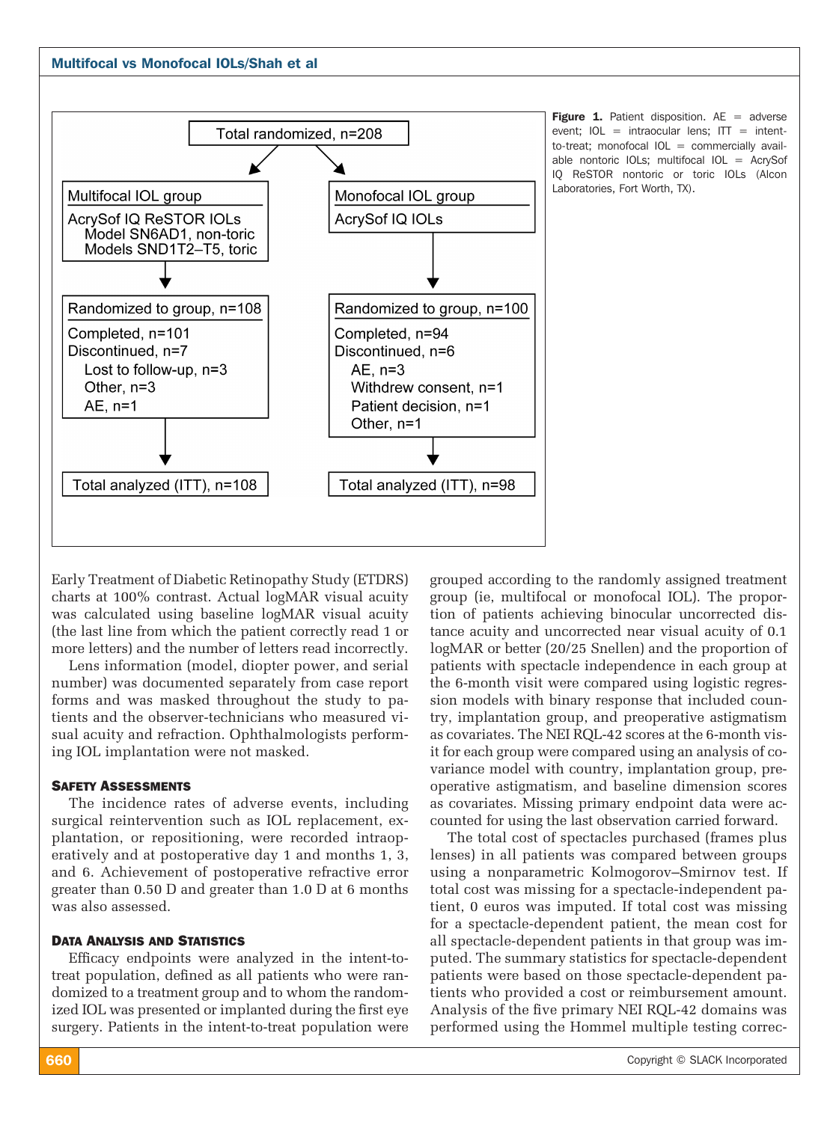



**Figure 1.** Patient disposition.  $AE =$  adverse event;  $IOL = intraocular lens; ITT = intent$ to-treat; monofocal  $IOL = commercially \, a$ vailable nontoric IOLs; multifocal IOL = AcrySof IQ ReSTOR nontoric or toric IOLs (Alcon Laboratories, Fort Worth, TX).

Early Treatment of Diabetic Retinopathy Study (ETDRS) charts at 100% contrast. Actual logMAR visual acuity was calculated using baseline logMAR visual acuity (the last line from which the patient correctly read 1 or more letters) and the number of letters read incorrectly.

Lens information (model, diopter power, and serial number) was documented separately from case report forms and was masked throughout the study to patients and the observer-technicians who measured visual acuity and refraction. Ophthalmologists performing IOL implantation were not masked.

#### Safety Assessments

The incidence rates of adverse events, including surgical reintervention such as IOL replacement, explantation, or repositioning, were recorded intraoperatively and at postoperative day 1 and months 1, 3, and 6. Achievement of postoperative refractive error greater than 0.50 D and greater than 1.0 D at 6 months was also assessed.

#### Data Analysis and Statistics

Efficacy endpoints were analyzed in the intent-totreat population, defined as all patients who were randomized to a treatment group and to whom the randomized IOL was presented or implanted during the first eye surgery. Patients in the intent-to-treat population were grouped according to the randomly assigned treatment group (ie, multifocal or monofocal IOL). The proportion of patients achieving binocular uncorrected distance acuity and uncorrected near visual acuity of 0.1 logMAR or better (20/25 Snellen) and the proportion of patients with spectacle independence in each group at the 6-month visit were compared using logistic regression models with binary response that included country, implantation group, and preoperative astigmatism as covariates. The NEI RQL-42 scores at the 6-month visit for each group were compared using an analysis of covariance model with country, implantation group, preoperative astigmatism, and baseline dimension scores as covariates. Missing primary endpoint data were accounted for using the last observation carried forward.

The total cost of spectacles purchased (frames plus lenses) in all patients was compared between groups using a nonparametric Kolmogorov–Smirnov test. If total cost was missing for a spectacle-independent patient, 0 euros was imputed. If total cost was missing for a spectacle-dependent patient, the mean cost for all spectacle-dependent patients in that group was imputed. The summary statistics for spectacle-dependent patients were based on those spectacle-dependent patients who provided a cost or reimbursement amount. Analysis of the five primary NEI RQL-42 domains was performed using the Hommel multiple testing correc-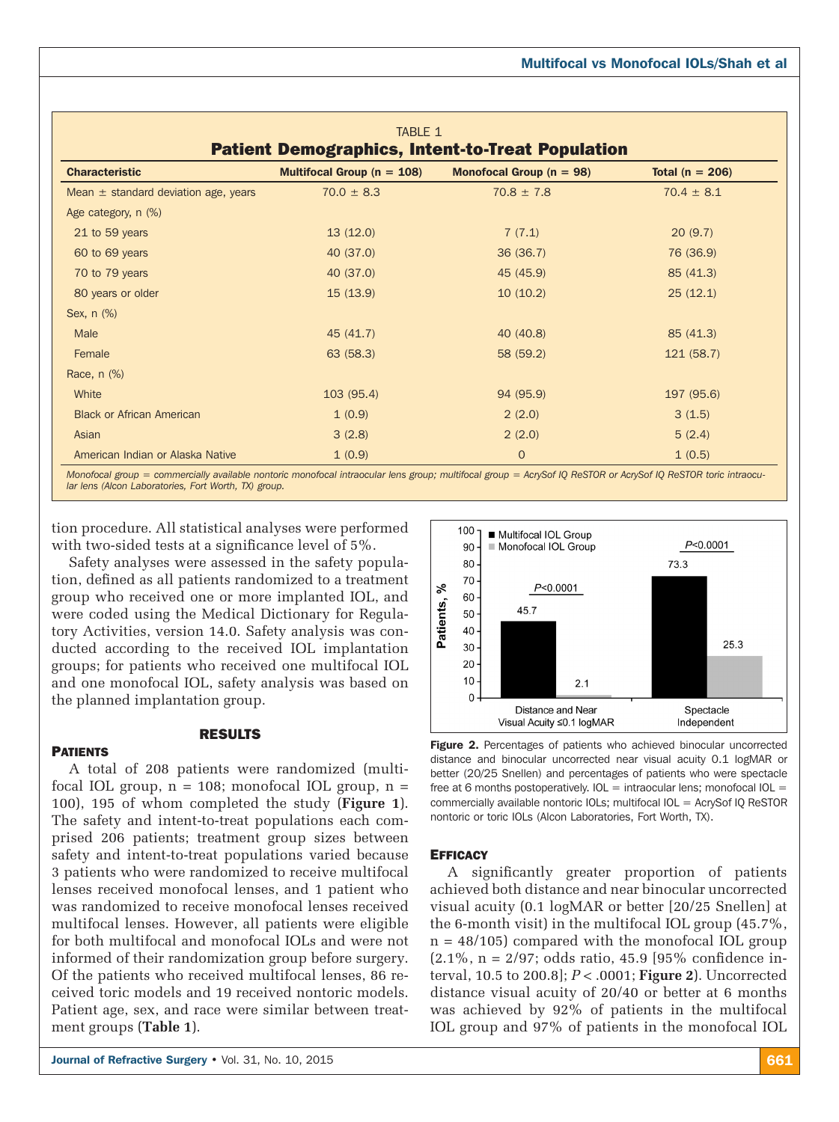| <b>TABLE 1</b><br><b>Patient Demographics, Intent-to-Treat Population</b> |                                |                              |                     |  |
|---------------------------------------------------------------------------|--------------------------------|------------------------------|---------------------|--|
| <b>Characteristic</b>                                                     | Multifocal Group ( $n = 108$ ) | Monofocal Group ( $n = 98$ ) | Total ( $n = 206$ ) |  |
| Mean $\pm$ standard deviation age, years                                  | $70.0 \pm 8.3$                 | $70.8 \pm 7.8$               | $70.4 \pm 8.1$      |  |
| Age category, n (%)                                                       |                                |                              |                     |  |
| 21 to 59 years                                                            | 13(12.0)                       | 7(7.1)                       | 20(9.7)             |  |
| 60 to 69 years                                                            | 40 (37.0)                      | 36(36.7)                     | 76 (36.9)           |  |
| 70 to 79 years                                                            | 40 (37.0)                      | 45 (45.9)                    | 85(41.3)            |  |
| 80 years or older                                                         | 15(13.9)                       | 10(10.2)                     | 25(12.1)            |  |
| Sex, n (%)                                                                |                                |                              |                     |  |
| Male                                                                      | 45 (41.7)                      | 40 (40.8)                    | 85(41.3)            |  |
| Female                                                                    | 63 (58.3)                      | 58 (59.2)                    | 121(58.7)           |  |
| Race, n (%)                                                               |                                |                              |                     |  |
| White                                                                     | 103(95.4)                      | 94 (95.9)                    | 197 (95.6)          |  |
| <b>Black or African American</b>                                          | 1(0.9)                         | 2(2.0)                       | 3(1.5)              |  |
| Asian                                                                     | 3(2.8)                         | 2(2.0)                       | 5(2.4)              |  |
| American Indian or Alaska Native                                          | 1(0.9)                         | $\mathbf{O}$                 | 1(0.5)              |  |

*Monofocal group = commercially available nontoric monofocal intraocular lens group; multifocal group = AcrySof IQ ReSTOR or AcrySof IQ ReSTOR toric intraocular lens (Alcon Laboratories, Fort Worth, TX) group.*

tion procedure. All statistical analyses were performed with two-sided tests at a significance level of 5%.

Safety analyses were assessed in the safety population, defined as all patients randomized to a treatment group who received one or more implanted IOL, and were coded using the Medical Dictionary for Regulatory Activities, version 14.0. Safety analysis was conducted according to the received IOL implantation groups; for patients who received one multifocal IOL and one monofocal IOL, safety analysis was based on the planned implantation group.

## RESULTS

#### **PATIENTS**

A total of 208 patients were randomized (multifocal IOL group,  $n = 108$ ; monofocal IOL group,  $n =$ 100), 195 of whom completed the study (**Figure 1**). The safety and intent-to-treat populations each comprised 206 patients; treatment group sizes between safety and intent-to-treat populations varied because 3 patients who were randomized to receive multifocal lenses received monofocal lenses, and 1 patient who was randomized to receive monofocal lenses received multifocal lenses. However, all patients were eligible for both multifocal and monofocal IOLs and were not informed of their randomization group before surgery. Of the patients who received multifocal lenses, 86 received toric models and 19 received nontoric models. Patient age, sex, and race were similar between treatment groups (**Table 1**).



Figure 2. Percentages of patients who achieved binocular uncorrected distance and binocular uncorrected near visual acuity 0.1 logMAR or better (20/25 Snellen) and percentages of patients who were spectacle free at 6 months postoperatively.  $IOL =$  intraocular lens; monofocal  $IOL =$ commercially available nontoric IOLs; multifocal IOL = AcrySof IQ ReSTOR nontoric or toric IOLs (Alcon Laboratories, Fort Worth, TX).

#### **EFFICACY**

A significantly greater proportion of patients achieved both distance and near binocular uncorrected visual acuity (0.1 logMAR or better [20/25 Snellen] at the 6-month visit) in the multifocal IOL group (45.7%, n = 48/105) compared with the monofocal IOL group  $(2.1\%, n = 2/97; \text{ odds ratio}, 45.9 [95\% \text{ confidence in-}])$ terval, 10.5 to 200.8]; *P* < .0001; **Figure 2**). Uncorrected distance visual acuity of 20/40 or better at 6 months was achieved by 92% of patients in the multifocal IOL group and 97% of patients in the monofocal IOL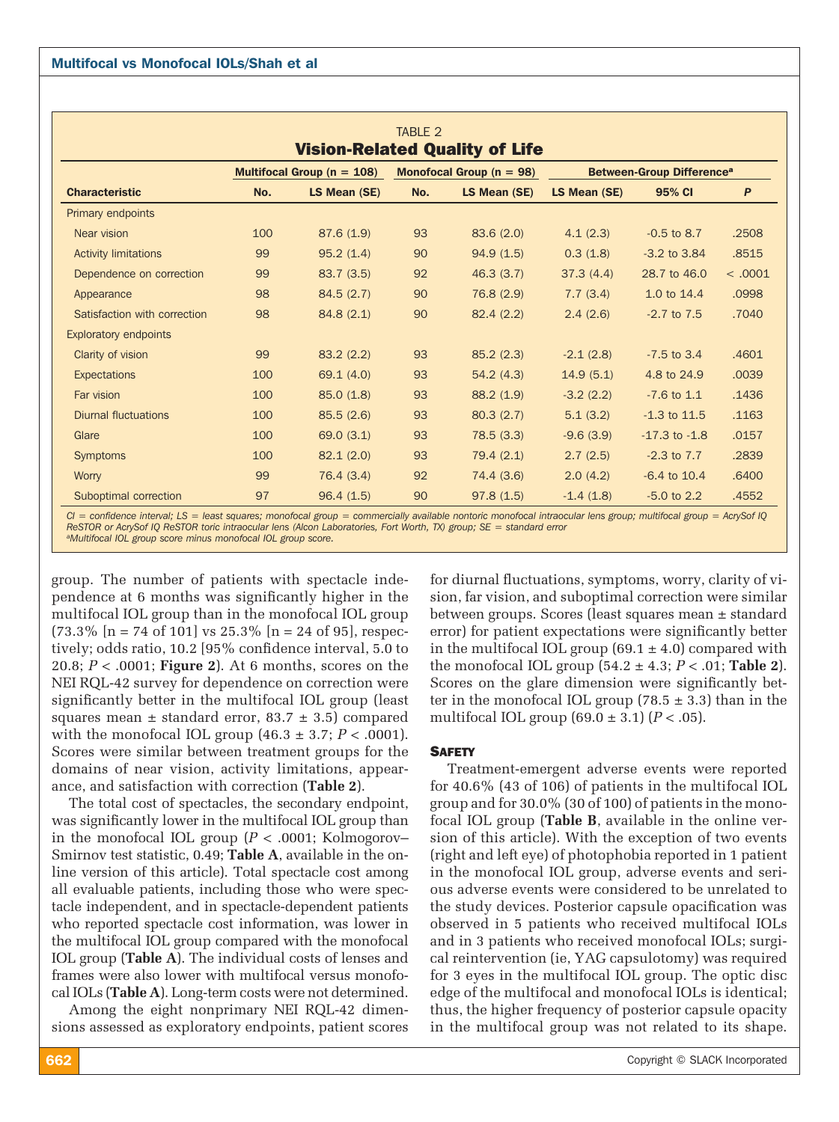|                                       |                                                                |              | TABLE 2                                     |              |              |                   |         |  |
|---------------------------------------|----------------------------------------------------------------|--------------|---------------------------------------------|--------------|--------------|-------------------|---------|--|
| <b>Vision-Related Quality of Life</b> |                                                                |              |                                             |              |              |                   |         |  |
|                                       | Monofocal Group ( $n = 98$ )<br>Multifocal Group ( $n = 108$ ) |              | <b>Between-Group Difference<sup>a</sup></b> |              |              |                   |         |  |
| <b>Characteristic</b>                 | No.                                                            | LS Mean (SE) | No.                                         | LS Mean (SE) | LS Mean (SE) | 95% CI            | P       |  |
| <b>Primary endpoints</b>              |                                                                |              |                                             |              |              |                   |         |  |
| Near vision                           | 100                                                            | 87.6(1.9)    | 93                                          | 83.6(2.0)    | 4.1(2.3)     | $-0.5$ to 8.7     | .2508   |  |
| <b>Activity limitations</b>           | 99                                                             | 95.2(1.4)    | 90                                          | 94.9(1.5)    | 0.3(1.8)     | $-3.2$ to $3.84$  | .8515   |  |
| Dependence on correction              | 99                                                             | 83.7(3.5)    | 92                                          | 46.3(3.7)    | 37.3(4.4)    | 28.7 to 46.0      | < .0001 |  |
| Appearance                            | 98                                                             | 84.5(2.7)    | 90                                          | 76.8 (2.9)   | 7.7(3.4)     | 1.0 to 14.4       | .0998   |  |
| Satisfaction with correction          | 98                                                             | 84.8(2.1)    | 90                                          | 82.4(2.2)    | 2.4(2.6)     | $-2.7$ to $7.5$   | .7040   |  |
| <b>Exploratory endpoints</b>          |                                                                |              |                                             |              |              |                   |         |  |
| Clarity of vision                     | 99                                                             | 83.2(2.2)    | 93                                          | 85.2(2.3)    | $-2.1(2.8)$  | $-7.5$ to 3.4     | .4601   |  |
| <b>Expectations</b>                   | 100                                                            | 69.1 (4.0)   | 93                                          | 54.2(4.3)    | 14.9(5.1)    | 4.8 to 24.9       | .0039   |  |
| Far vision                            | 100                                                            | 85.0(1.8)    | 93                                          | 88.2(1.9)    | $-3.2(2.2)$  | $-7.6$ to $1.1$   | .1436   |  |
| <b>Diurnal fluctuations</b>           | 100                                                            | 85.5(2.6)    | 93                                          | 80.3(2.7)    | 5.1(3.2)     | $-1.3$ to $11.5$  | .1163   |  |
| Glare                                 | 100                                                            | 69.0 (3.1)   | 93                                          | 78.5(3.3)    | $-9.6(3.9)$  | $-17.3$ to $-1.8$ | .0157   |  |
| <b>Symptoms</b>                       | 100                                                            | 82.1(2.0)    | 93                                          | 79.4 (2.1)   | 2.7(2.5)     | $-2.3$ to $7.7$   | .2839   |  |
| Worry                                 | 99                                                             | 76.4 (3.4)   | 92                                          | 74.4 (3.6)   | 2.0(4.2)     | $-6.4$ to $10.4$  | .6400   |  |
| Suboptimal correction                 | 97                                                             | 96.4(1.5)    | 90                                          | 97.8(1.5)    | $-1.4(1.8)$  | $-5.0$ to 2.2     | .4552   |  |

*CI = confidence interval; LS = least squares; monofocal group = commercially available nontoric monofocal intraocular lens group; multifocal group = AcrySof IQ ReSTOR or AcrySof IQ ReSTOR toric intraocular lens (Alcon Laboratories, Fort Worth, TX) group; SE = standard error aMultifocal IOL group score minus monofocal IOL group score.*

group. The number of patients with spectacle independence at 6 months was significantly higher in the multifocal IOL group than in the monofocal IOL group  $(73.3\% \; \text{[}n = 74 \; \text{of} \; 101 \; \text{] vs } 25.3\% \; \text{[}n = 24 \; \text{of} \; 95 \; \text{]}, \; \text{respectively,}$ tively; odds ratio, 10.2 [95% confidence interval, 5.0 to 20.8; *P* < .0001; **Figure 2**). At 6 months, scores on the NEI RQL-42 survey for dependence on correction were significantly better in the multifocal IOL group (least squares mean  $\pm$  standard error, 83.7  $\pm$  3.5) compared with the monofocal IOL group  $(46.3 \pm 3.7; P < .0001)$ . Scores were similar between treatment groups for the domains of near vision, activity limitations, appearance, and satisfaction with correction (**Table 2**).

The total cost of spectacles, the secondary endpoint, was significantly lower in the multifocal IOL group than in the monofocal IOL group  $(P < .0001;$  Kolmogorov– Smirnov test statistic, 0.49; **Table A**, available in the online version of this article). Total spectacle cost among all evaluable patients, including those who were spectacle independent, and in spectacle-dependent patients who reported spectacle cost information, was lower in the multifocal IOL group compared with the monofocal IOL group (**Table A**). The individual costs of lenses and frames were also lower with multifocal versus monofocal IOLs (**Table A**). Long-term costs were not determined.

Among the eight nonprimary NEI RQL-42 dimensions assessed as exploratory endpoints, patient scores for diurnal fluctuations, symptoms, worry, clarity of vision, far vision, and suboptimal correction were similar between groups. Scores (least squares mean ± standard error) for patient expectations were significantly better in the multifocal IOL group  $(69.1 \pm 4.0)$  compared with the monofocal IOL group (54.2 ± 4.3; *P* < .01; **Table 2**). Scores on the glare dimension were significantly better in the monofocal IOL group (78.5  $\pm$  3.3) than in the multifocal IOL group (69.0 ± 3.1) (*P* < .05).

#### **SAFETY**

Treatment-emergent adverse events were reported for 40.6% (43 of 106) of patients in the multifocal IOL group and for 30.0% (30 of 100) of patients in the monofocal IOL group (**Table B**, available in the online version of this article). With the exception of two events (right and left eye) of photophobia reported in 1 patient in the monofocal IOL group, adverse events and serious adverse events were considered to be unrelated to the study devices. Posterior capsule opacification was observed in 5 patients who received multifocal IOLs and in 3 patients who received monofocal IOLs; surgical reintervention (ie, YAG capsulotomy) was required for 3 eyes in the multifocal IOL group. The optic disc edge of the multifocal and monofocal IOLs is identical; thus, the higher frequency of posterior capsule opacity in the multifocal group was not related to its shape.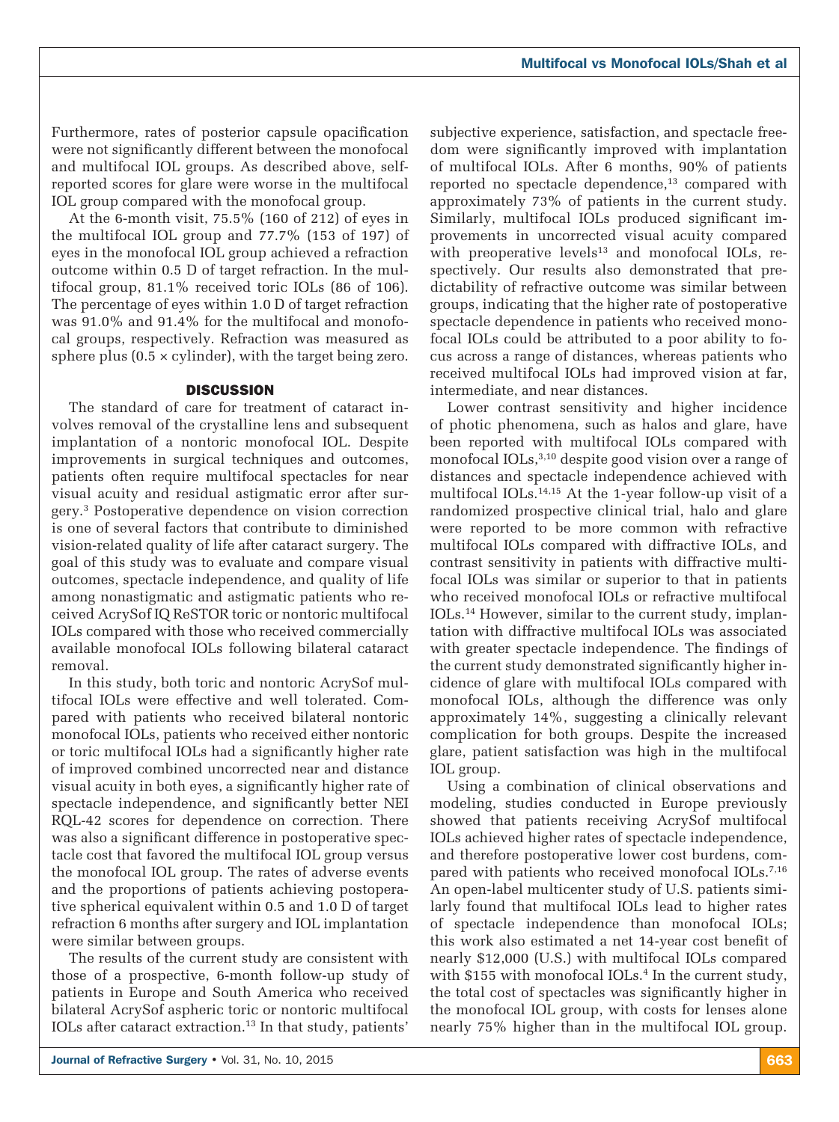Furthermore, rates of posterior capsule opacification were not significantly different between the monofocal and multifocal IOL groups. As described above, selfreported scores for glare were worse in the multifocal IOL group compared with the monofocal group.

At the 6-month visit, 75.5% (160 of 212) of eyes in the multifocal IOL group and 77.7% (153 of 197) of eyes in the monofocal IOL group achieved a refraction outcome within 0.5 D of target refraction. In the multifocal group, 81.1% received toric IOLs (86 of 106). The percentage of eyes within 1.0 D of target refraction was 91.0% and 91.4% for the multifocal and monofocal groups, respectively. Refraction was measured as sphere plus  $(0.5 \times \text{cylinder})$ , with the target being zero.

#### **DISCUSSION**

The standard of care for treatment of cataract involves removal of the crystalline lens and subsequent implantation of a nontoric monofocal IOL. Despite improvements in surgical techniques and outcomes, patients often require multifocal spectacles for near visual acuity and residual astigmatic error after surgery.3 Postoperative dependence on vision correction is one of several factors that contribute to diminished vision-related quality of life after cataract surgery. The goal of this study was to evaluate and compare visual outcomes, spectacle independence, and quality of life among nonastigmatic and astigmatic patients who received AcrySof IQ ReSTOR toric or nontoric multifocal IOLs compared with those who received commercially available monofocal IOLs following bilateral cataract removal.

In this study, both toric and nontoric AcrySof multifocal IOLs were effective and well tolerated. Compared with patients who received bilateral nontoric monofocal IOLs, patients who received either nontoric or toric multifocal IOLs had a significantly higher rate of improved combined uncorrected near and distance visual acuity in both eyes, a significantly higher rate of spectacle independence, and significantly better NEI RQL-42 scores for dependence on correction. There was also a significant difference in postoperative spectacle cost that favored the multifocal IOL group versus the monofocal IOL group. The rates of adverse events and the proportions of patients achieving postoperative spherical equivalent within 0.5 and 1.0 D of target refraction 6 months after surgery and IOL implantation were similar between groups.

The results of the current study are consistent with those of a prospective, 6-month follow-up study of patients in Europe and South America who received bilateral AcrySof aspheric toric or nontoric multifocal IOLs after cataract extraction.13 In that study, patients'

subjective experience, satisfaction, and spectacle freedom were significantly improved with implantation of multifocal IOLs. After 6 months, 90% of patients reported no spectacle dependence, $13$  compared with approximately 73% of patients in the current study. Similarly, multifocal IOLs produced significant improvements in uncorrected visual acuity compared with preoperative levels $13$  and monofocal IOLs, respectively. Our results also demonstrated that predictability of refractive outcome was similar between groups, indicating that the higher rate of postoperative spectacle dependence in patients who received monofocal IOLs could be attributed to a poor ability to focus across a range of distances, whereas patients who received multifocal IOLs had improved vision at far, intermediate, and near distances.

Lower contrast sensitivity and higher incidence of photic phenomena, such as halos and glare, have been reported with multifocal IOLs compared with monofocal IOLs,<sup>3,10</sup> despite good vision over a range of distances and spectacle independence achieved with multifocal IOLs.<sup>14,15</sup> At the 1-year follow-up visit of a randomized prospective clinical trial, halo and glare were reported to be more common with refractive multifocal IOLs compared with diffractive IOLs, and contrast sensitivity in patients with diffractive multifocal IOLs was similar or superior to that in patients who received monofocal IOLs or refractive multifocal IOLs.14 However, similar to the current study, implantation with diffractive multifocal IOLs was associated with greater spectacle independence. The findings of the current study demonstrated significantly higher incidence of glare with multifocal IOLs compared with monofocal IOLs, although the difference was only approximately 14%, suggesting a clinically relevant complication for both groups. Despite the increased glare, patient satisfaction was high in the multifocal IOL group.

Using a combination of clinical observations and modeling, studies conducted in Europe previously showed that patients receiving AcrySof multifocal IOLs achieved higher rates of spectacle independence, and therefore postoperative lower cost burdens, compared with patients who received monofocal IOLs.<sup>7,16</sup> An open-label multicenter study of U.S. patients similarly found that multifocal IOLs lead to higher rates of spectacle independence than monofocal IOLs; this work also estimated a net 14-year cost benefit of nearly \$12,000 (U.S.) with multifocal IOLs compared with  $$155$  with monofocal IOLs.<sup>4</sup> In the current study, the total cost of spectacles was significantly higher in the monofocal IOL group, with costs for lenses alone nearly 75% higher than in the multifocal IOL group.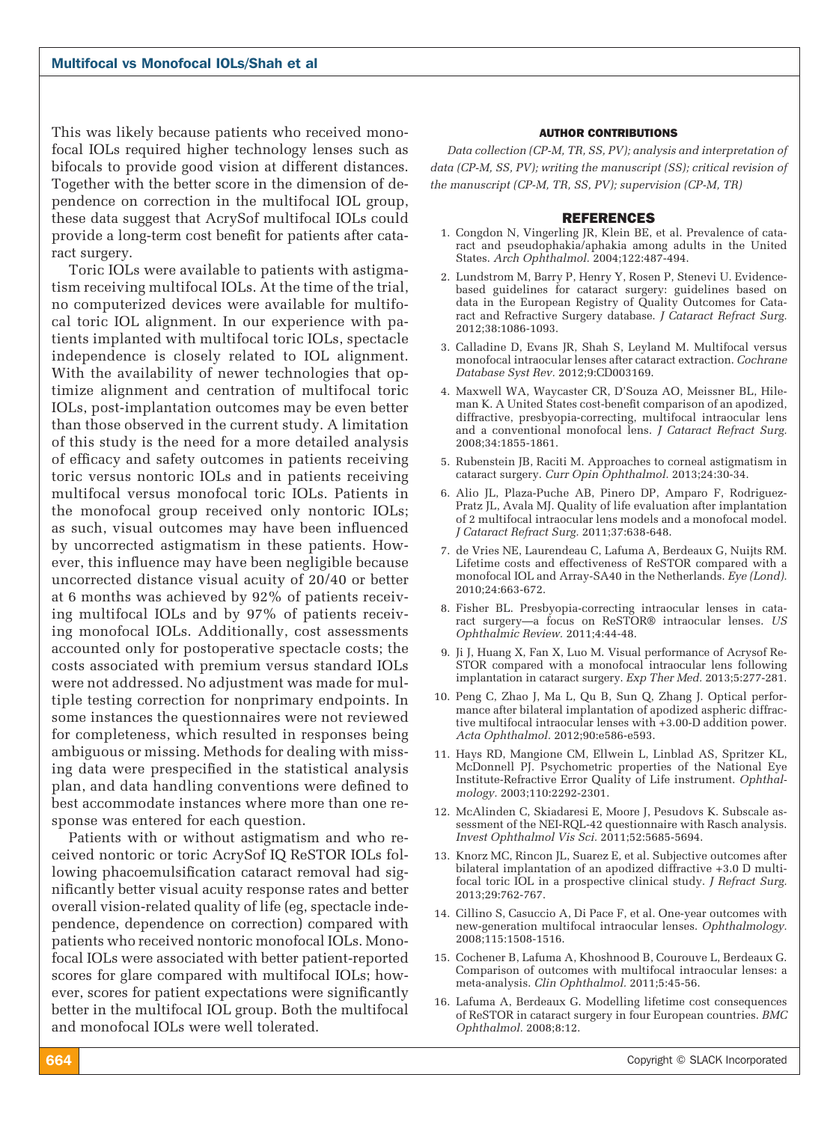This was likely because patients who received monofocal IOLs required higher technology lenses such as bifocals to provide good vision at different distances. Together with the better score in the dimension of dependence on correction in the multifocal IOL group, these data suggest that AcrySof multifocal IOLs could provide a long-term cost benefit for patients after cataract surgery.

Toric IOLs were available to patients with astigmatism receiving multifocal IOLs. At the time of the trial, no computerized devices were available for multifocal toric IOL alignment. In our experience with patients implanted with multifocal toric IOLs, spectacle independence is closely related to IOL alignment. With the availability of newer technologies that optimize alignment and centration of multifocal toric IOLs, post-implantation outcomes may be even better than those observed in the current study. A limitation of this study is the need for a more detailed analysis of efficacy and safety outcomes in patients receiving toric versus nontoric IOLs and in patients receiving multifocal versus monofocal toric IOLs. Patients in the monofocal group received only nontoric IOLs; as such, visual outcomes may have been influenced by uncorrected astigmatism in these patients. However, this influence may have been negligible because uncorrected distance visual acuity of 20/40 or better at 6 months was achieved by 92% of patients receiving multifocal IOLs and by 97% of patients receiving monofocal IOLs. Additionally, cost assessments accounted only for postoperative spectacle costs; the costs associated with premium versus standard IOLs were not addressed. No adjustment was made for multiple testing correction for nonprimary endpoints. In some instances the questionnaires were not reviewed for completeness, which resulted in responses being ambiguous or missing. Methods for dealing with missing data were prespecified in the statistical analysis plan, and data handling conventions were defined to best accommodate instances where more than one response was entered for each question.

Patients with or without astigmatism and who received nontoric or toric AcrySof IQ ReSTOR IOLs following phacoemulsification cataract removal had significantly better visual acuity response rates and better overall vision-related quality of life (eg, spectacle independence, dependence on correction) compared with patients who received nontoric monofocal IOLs. Monofocal IOLs were associated with better patient-reported scores for glare compared with multifocal IOLs; however, scores for patient expectations were significantly better in the multifocal IOL group. Both the multifocal and monofocal IOLs were well tolerated.

#### AUTHOR CONTRIBUTIONS

*Data collection (CP-M, TR, SS, PV); analysis and interpretation of data (CP-M, SS, PV); writing the manuscript (SS); critical revision of the manuscript (CP-M, TR, SS, PV); supervision (CP-M, TR)*

#### REFERENCES

- 1. Congdon N, Vingerling JR, Klein BE, et al. Prevalence of cataract and pseudophakia/aphakia among adults in the United States. *Arch Ophthalmol.* 2004;122:487-494.
- 2. Lundstrom M, Barry P, Henry Y, Rosen P, Stenevi U. Evidencebased guidelines for cataract surgery: guidelines based on data in the European Registry of Quality Outcomes for Cataract and Refractive Surgery database. *J Cataract Refract Surg.* 2012;38:1086-1093.
- 3. Calladine D, Evans JR, Shah S, Leyland M. Multifocal versus monofocal intraocular lenses after cataract extraction. *Cochrane Database Syst Rev.* 2012;9:CD003169.
- 4. Maxwell WA, Waycaster CR, D'Souza AO, Meissner BL, Hileman K. A United States cost-benefit comparison of an apodized, diffractive, presbyopia-correcting, multifocal intraocular lens and a conventional monofocal lens. *J Cataract Refract Surg.* 2008;34:1855-1861.
- 5. Rubenstein JB, Raciti M. Approaches to corneal astigmatism in cataract surgery. *Curr Opin Ophthalmol.* 2013;24:30-34.
- 6. Alio JL, Plaza-Puche AB, Pinero DP, Amparo F, Rodriguez-Pratz JL, Avala MJ. Quality of life evaluation after implantation of 2 multifocal intraocular lens models and a monofocal model. *J Cataract Refract Surg.* 2011;37:638-648.
- 7. de Vries NE, Laurendeau C, Lafuma A, Berdeaux G, Nuijts RM. Lifetime costs and effectiveness of ReSTOR compared with a monofocal IOL and Array-SA40 in the Netherlands. *Eye (Lond).* 2010;24:663-672.
- 8. Fisher BL. Presbyopia-correcting intraocular lenses in cataract surgery—a focus on ReSTOR® intraocular lenses. *US Ophthalmic Review.* 2011;4:44-48.
- 9. Ji J, Huang X, Fan X, Luo M. Visual performance of Acrysof Re-STOR compared with a monofocal intraocular lens following implantation in cataract surgery. *Exp Ther Med.* 2013;5:277-281.
- 10. Peng C, Zhao J, Ma L, Qu B, Sun Q, Zhang J. Optical performance after bilateral implantation of apodized aspheric diffractive multifocal intraocular lenses with +3.00-D addition power. *Acta Ophthalmol.* 2012;90:e586-e593.
- 11. Hays RD, Mangione CM, Ellwein L, Linblad AS, Spritzer KL, McDonnell PJ. Psychometric properties of the National Eye Institute-Refractive Error Quality of Life instrument. *Ophthalmology.* 2003;110:2292-2301.
- 12. McAlinden C, Skiadaresi E, Moore J, Pesudovs K. Subscale assessment of the NEI-RQL-42 questionnaire with Rasch analysis. *Invest Ophthalmol Vis Sci.* 2011;52:5685-5694.
- 13. Knorz MC, Rincon JL, Suarez E, et al. Subjective outcomes after bilateral implantation of an apodized diffractive +3.0 D multifocal toric IOL in a prospective clinical study. *J Refract Surg.* 2013;29:762-767.
- 14. Cillino S, Casuccio A, Di Pace F, et al. One-year outcomes with new-generation multifocal intraocular lenses. *Ophthalmology.* 2008;115:1508-1516.
- 15. Cochener B, Lafuma A, Khoshnood B, Courouve L, Berdeaux G. Comparison of outcomes with multifocal intraocular lenses: a meta-analysis. *Clin Ophthalmol.* 2011;5:45-56.
- 16. Lafuma A, Berdeaux G. Modelling lifetime cost consequences of ReSTOR in cataract surgery in four European countries. *BMC Ophthalmol.* 2008;8:12.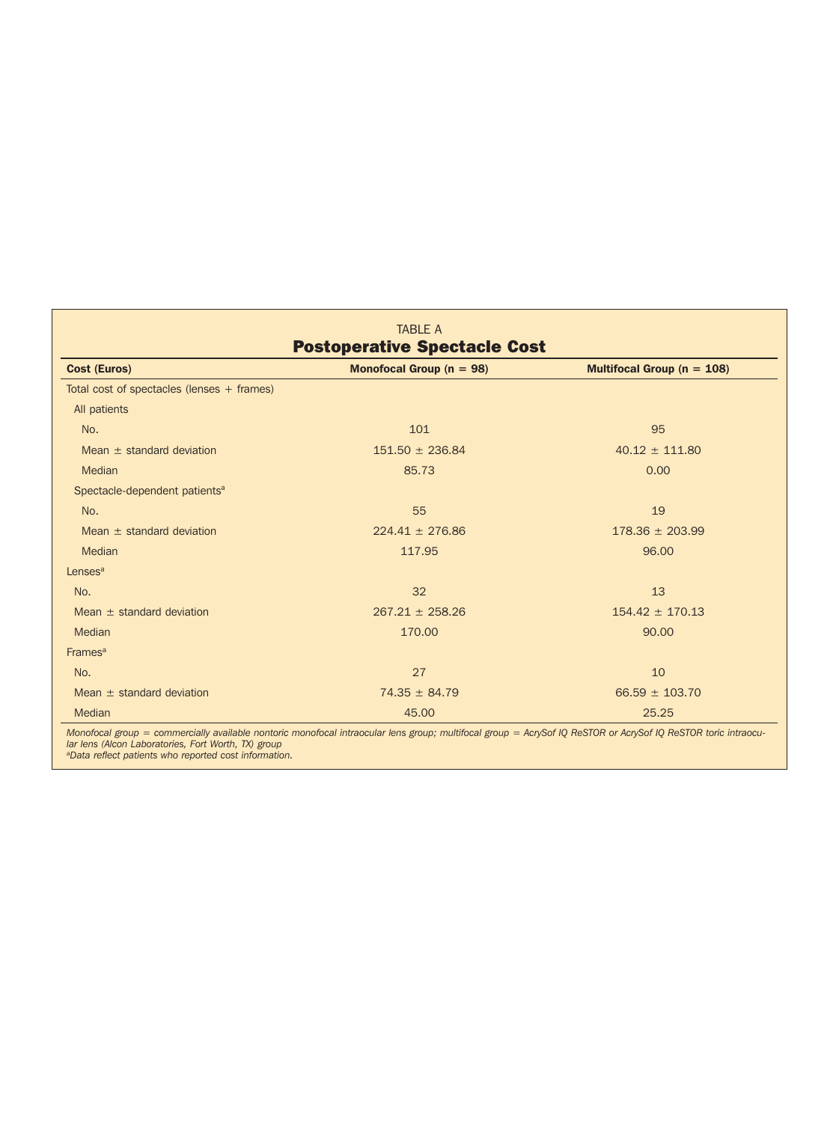| Cost (Euros)                               | Monofocal Group ( $n = 98$ ) | Multifocal Group ( $n = 108$ ) |  |
|--------------------------------------------|------------------------------|--------------------------------|--|
| Total cost of spectacles (lenses + frames) |                              |                                |  |
| All patients                               |                              |                                |  |
| No.                                        | 101                          | 95                             |  |
| Mean $\pm$ standard deviation              | $151.50 \pm 236.84$          | $40.12 \pm 111.80$             |  |
| Median                                     | 85.73                        | 0.00                           |  |
| Spectacle-dependent patients <sup>a</sup>  |                              |                                |  |
| No.                                        | 55                           | 19                             |  |
| Mean $\pm$ standard deviation              | $224.41 \pm 276.86$          | $178.36 \pm 203.99$            |  |
| Median                                     | 117.95                       | 96.00                          |  |
| Lenses <sup>a</sup>                        |                              |                                |  |
| No.                                        | 32                           | 13                             |  |
| Mean $\pm$ standard deviation              | $267.21 \pm 258.26$          | $154.42 \pm 170.13$            |  |
| <b>Median</b>                              | 170.00                       | 90.00                          |  |
| Frames <sup>a</sup>                        |                              |                                |  |
| No.                                        | 27                           | 10                             |  |
| Mean $\pm$ standard deviation              | $74.35 \pm 84.79$            | $66.59 \pm 103.70$             |  |
| <b>Median</b>                              | 45.00                        | 25.25                          |  |

*Monofocal group = commercially available nontoric monofocal intraocular lens group; multifocal group = AcrySof IQ ReSTOR or AcrySof IQ ReSTOR toric intraocular lens (Alcon Laboratories, Fort Worth, TX) group aData reflect patients who reported cost information.*